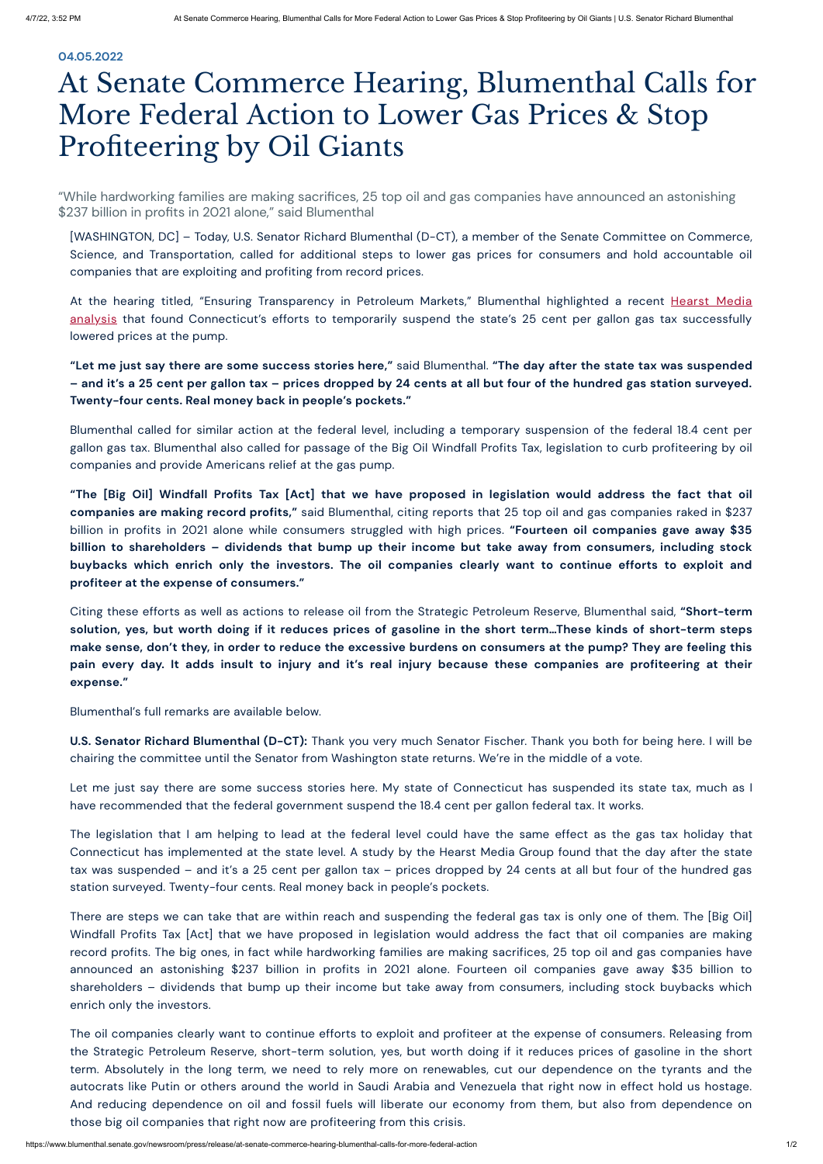"While hardworking families are making sacrifices, 25 top oil and gas companies have announced an astonishing \$237 billion in profits in 2021 alone," said Blumenthal

## **04.05.2022**

## At Senate Commerce Hearing, Blumenthal Calls for More Federal Action to Lower Gas Prices & Stop Profiteering by Oil Giants

At the hearing titled, "Ensuring Transparency in Petroleum Markets," Blumenthal highlighted a recent Hearst Media analysis that found [Connecticut's](https://www.ctinsider.com/news/article/Analysis-Gas-prices-fell-by-24-cents-at-nearly-17057289.php) efforts to temporarily suspend the state's 25 cent per gallon gas tax successfully lowered prices at the pump.

"Let me just say there are some success stories here," said Blumenthal. "The day after the state tax was suspended - and it's a 25 cent per gallon tax - prices dropped by 24 cents at all but four of the hundred gas station surveyed. **Twenty-four cents. Real money back in people's pockets."**

[WASHINGTON, DC] – Today, U.S. Senator Richard Blumenthal (D-CT), a member of the Senate Committee on Commerce, Science, and Transportation, called for additional steps to lower gas prices for consumers and hold accountable oil companies that are exploiting and profiting from record prices.

"The [Big Oil] Windfall Profits Tax [Act] that we have proposed in legislation would address the fact that oil **companies are making record profits,"** said Blumenthal, citing reports that 25 top oil and gas companies raked in \$237 billion in profits in 2021 alone while consumers struggled with high prices. **"Fourteen oil companies gave away \$35** billion to shareholders - dividends that bump up their income but take away from consumers, including stock buybacks which enrich only the investors. The oil companies clearly want to continue efforts to exploit and **profiteer at the expense of consumers."**

Blumenthal called for similar action at the federal level, including a temporary suspension of the federal 18.4 cent per gallon gas tax. Blumenthal also called for passage of the Big Oil Windfall Profits Tax, legislation to curb profiteering by oil companies and provide Americans relief at the gas pump.

Citing these efforts as well as actions to release oil from the Strategic Petroleum Reserve, Blumenthal said, **"Short-term** solution, yes, but worth doing if it reduces prices of gasoline in the short term...These kinds of short-term steps make sense, don't they, in order to reduce the excessive burdens on consumers at the pump? They are feeling this pain every day. It adds insult to injury and it's real injury because these companies are profiteering at their **expense."**

Blumenthal's full remarks are available below.

**U.S. Senator Richard Blumenthal (D-CT):** Thank you very much Senator Fischer. Thank you both for being here. I will be chairing the committee until the Senator from Washington state returns. We're in the middle of a vote.

Let me just say there are some success stories here. My state of Connecticut has suspended its state tax, much as I have recommended that the federal government suspend the 18.4 cent per gallon federal tax. It works.

The legislation that I am helping to lead at the federal level could have the same effect as the gas tax holiday that Connecticut has implemented at the state level. A study by the Hearst Media Group found that the day after the state tax was suspended – and it's a 25 cent per gallon tax – prices dropped by 24 cents at all but four of the hundred gas

## station surveyed. Twenty-four cents. Real money back in people's pockets.

There are steps we can take that are within reach and suspending the federal gas tax is only one of them. The [Big Oil] Windfall Profits Tax [Act] that we have proposed in legislation would address the fact that oil companies are making record profits. The big ones, in fact while hardworking families are making sacrifices, 25 top oil and gas companies have announced an astonishing \$237 billion in profits in 2021 alone. Fourteen oil companies gave away \$35 billion to shareholders – dividends that bump up their income but take away from consumers, including stock buybacks which enrich only the investors.

The oil companies clearly want to continue efforts to exploit and profiteer at the expense of consumers. Releasing from the Strategic Petroleum Reserve, short-term solution, yes, but worth doing if it reduces prices of gasoline in the short term. Absolutely in the long term, we need to rely more on renewables, cut our dependence on the tyrants and the autocrats like Putin or others around the world in Saudi Arabia and Venezuela that right now in effect hold us hostage. And reducing dependence on oil and fossil fuels will liberate our economy from them, but also from dependence on those big oil companies that right now are profiteering from this crisis.